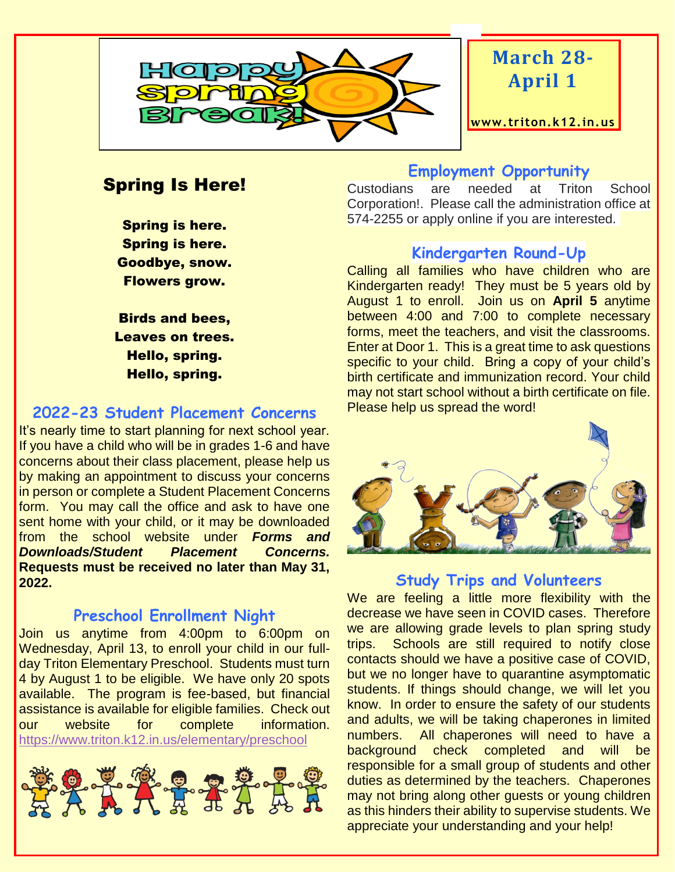

# **March 28- April 1**

**www. triton.k12.in.us**

## Spring Is Here!

Spring is here. Spring is here. Goodbye, snow. Flowers grow.

Birds and bees, Leaves on trees. Hello, spring. Hello, spring.

#### **2022-23 Student Placement Concerns**

It's nearly time to start planning for next school year. If you have a child who will be in grades 1-6 and have concerns about their class placement, please help us by making an appointment to discuss your concerns in person or complete a Student Placement Concerns form. You may call the office and ask to have one sent home with your child, or it may be downloaded from the school website under *Forms and Downloads/Student Placement Concerns.*  **Requests must be received no later than May 31, 2022.**

#### **Preschool Enrollment Night**

Join us anytime from 4:00pm to 6:00pm on Wednesday, April 13, to enroll your child in our fullday Triton Elementary Preschool. Students must turn 4 by August 1 to be eligible. We have only 20 spots available. The program is fee-based, but financial assistance is available for eligible families. Check out our website for complete information. <https://www.triton.k12.in.us/elementary/preschool>



#### **Employment Opportunity**

Custodians are needed at Triton School Corporation!. Please call the administration office at 574-2255 or apply online if you are interested.

#### **Kindergarten Round-Up**

Calling all families who have children who are Kindergarten ready! They must be 5 years old by August 1 to enroll. Join us on **April 5** anytime between 4:00 and 7:00 to complete necessary forms, meet the teachers, and visit the classrooms. Enter at Door 1. This is a great time to ask questions specific to your child. Bring a copy of your child's birth certificate and immunization record. Your child may not start school without a birth certificate on file. Please help us spread the word!



#### **Study Trips and Volunteers**

We are feeling a little more flexibility with the decrease we have seen in COVID cases. Therefore we are allowing grade levels to plan spring study trips. Schools are still required to notify close contacts should we have a positive case of COVID, but we no longer have to quarantine asymptomatic students. If things should change, we will let you know. In order to ensure the safety of our students and adults, we will be taking chaperones in limited numbers. All chaperones will need to have a background check completed and will be responsible for a small group of students and other duties as determined by the teachers. Chaperones may not bring along other guests or young children as this hinders their ability to supervise students. We appreciate your understanding and your help!